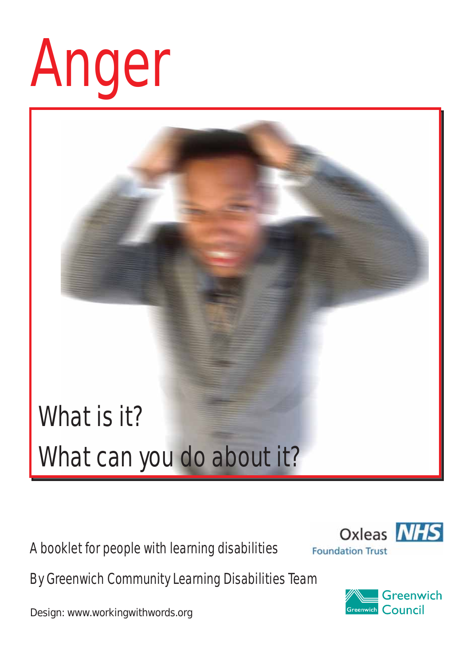# Anger

### What is it? What can you do about it?

A booklet for people with learning disabilities



By Greenwich Community Learning Disabilities Team

Design: www.workingwithwords.org

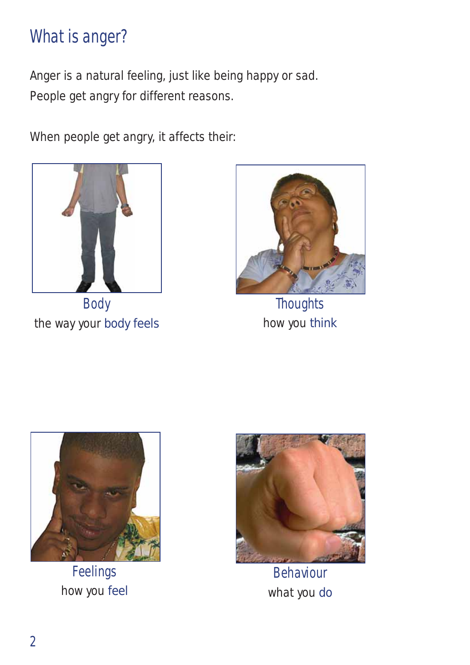#### What is anger?

Anger is a natural feeling, just like being happy or sad. People get angry for different reasons.

When people get angry, it affects their:



Body the way your body feels



**Thoughts** how you think



Feelings how you feel



Behaviour what you do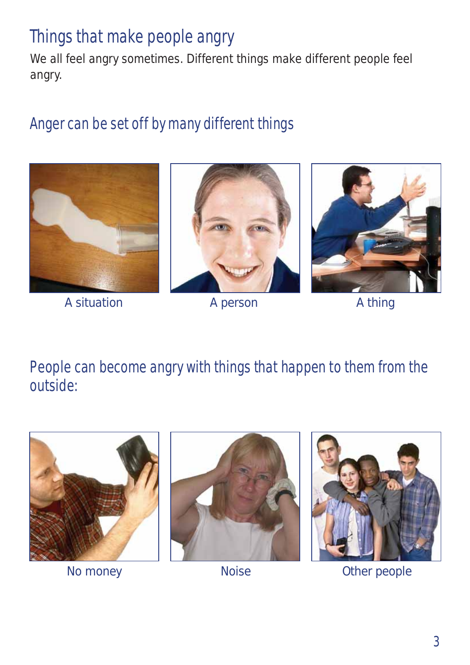#### Things that make people angry

We all feel angry sometimes. Different things make different people feel angry.

#### Anger can be set off by many different things



A situation **A person** A thing





People can become angry with things that happen to them from the outside:







No money **Noise** Noise **Other people**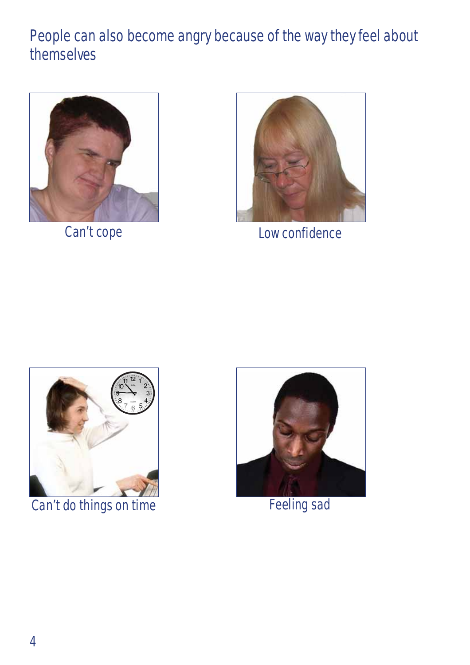#### People can also become angry because of the way they feel about themselves



Can't cope



Low confidence



Can't do things on time Feeling sad

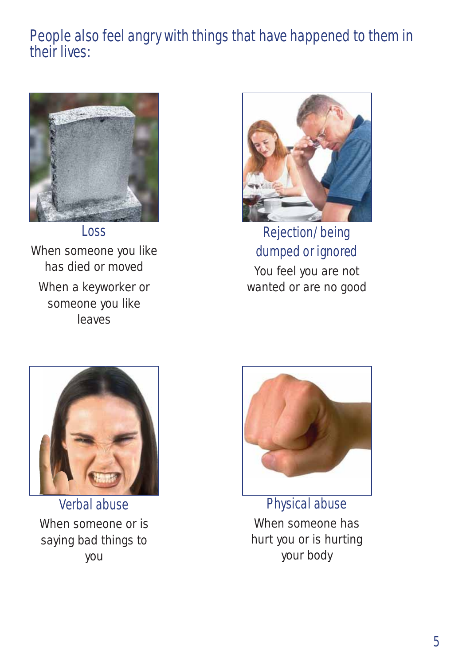#### People also feel angry with things that have happened to them in their lives:



Loss When someone you like has died or moved When a keyworker or someone you like leaves



Rejection/being dumped or ignored You feel you are not

wanted or are no good



Verbal abuse When someone or is saying bad things to you



Physical abuse When someone has hurt you or is hurting your body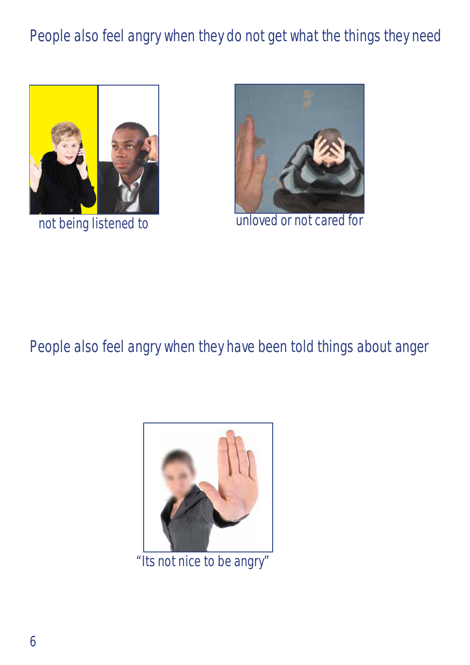#### People also feel angry when they do not get what the things they need



not being listened to



unloved or not cared for

People also feel angry when they have been told things about anger



"Its not nice to be angry"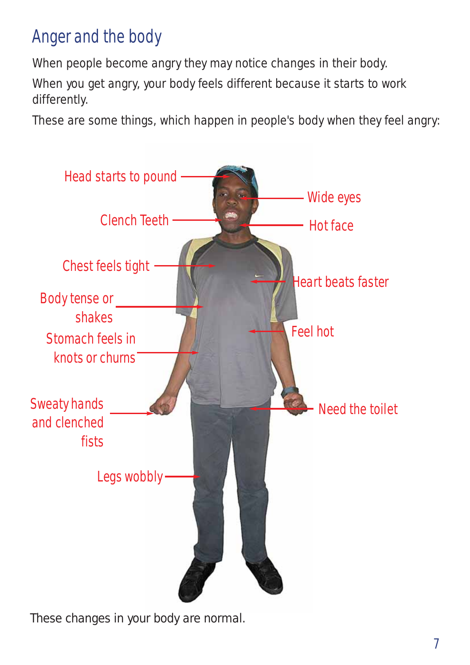#### Anger and the body

When people become angry they may notice changes in their body.

When you get angry, your body feels different because it starts to work differently.

These are some things, which happen in people's body when they feel angry:



These changes in your body are normal.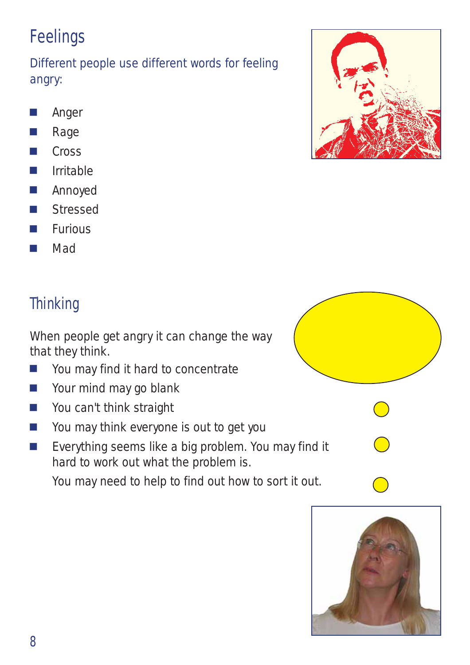#### Feelings

Different people use different words for feeling angry:

- **D** Anger
- **N** Rage
- $\Box$  Cross
- $\blacksquare$  Irritable
- **D** Annoyed
- Stressed
- $\blacksquare$  Furious
- <sup>J</sup> Mad

#### **Thinking**

When people get angry it can change the way that they think.

- **Journal Manadeu Find it hard to concentrate**
- $\blacksquare$  Your mind may go blank
- **Nou can't think straight**
- $\blacksquare$  You may think everyone is out to get you
- Everything seems like a big problem. You may hard to work out what the problem is.

You may need to help to find out how to sort it



|         | $\mathcal{L}$            |
|---------|--------------------------|
| find it | $\overline{\phantom{a}}$ |
| out.    |                          |
|         |                          |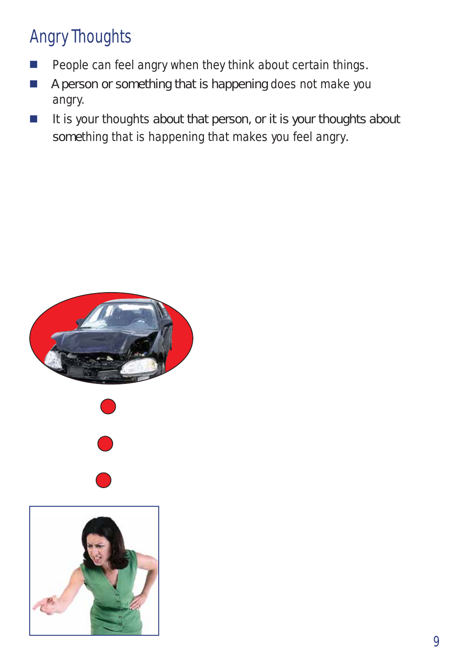#### Angry Thoughts

- People can feel angry when they think about certain things.
- A person or something that is happening does not make you angry.
- $\blacksquare$  It is your thoughts about that person, or it is your thoughts about something that is happening that makes you feel angry.

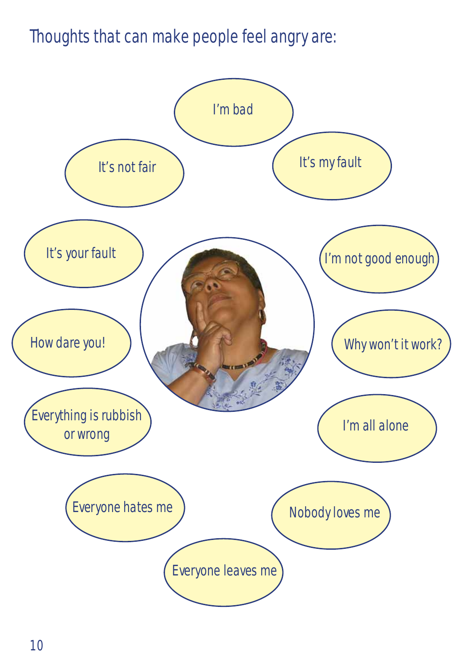Thoughts that can make people feel angry are:

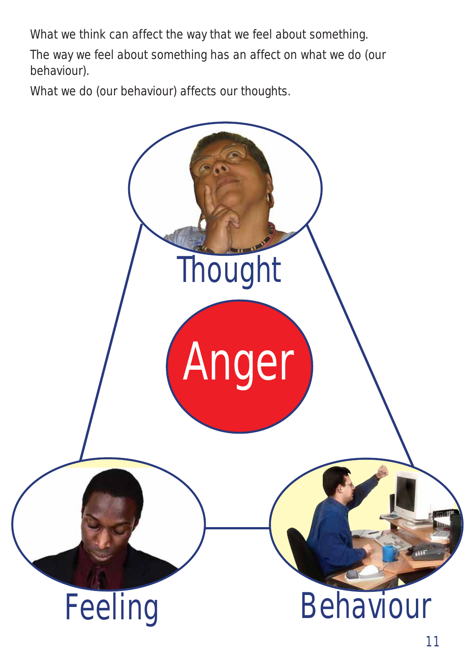What we think can affect the way that we feel about something.

The way we feel about something has an affect on what we do (our behaviour).

What we do (our behaviour) affects our thoughts.

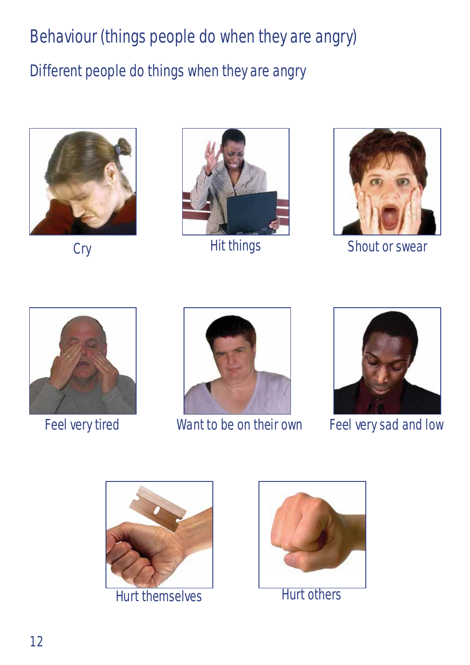#### Behaviour (things people do when they are angry)

#### Different people do things when they are angry





Hit things



Cry Hit things Shout or swear





Feel very tired Want to be on their own



Feel very sad and low



Hurt themselves Hurt others

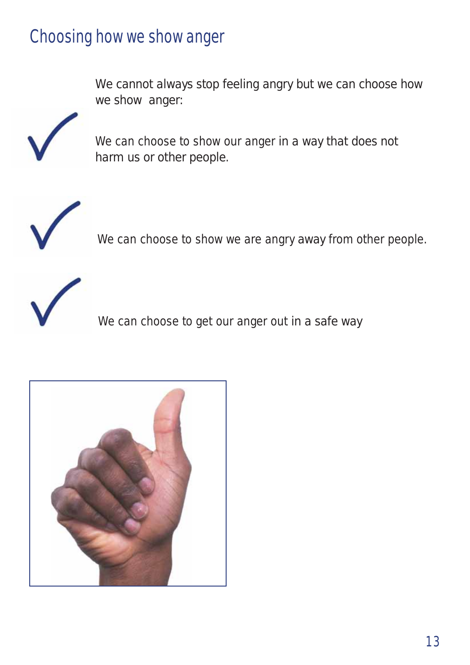#### Choosing how we show anger

We cannot always stop feeling angry but we can choose how we show anger:



We can choose to show our anger in a way that does not harm us or other people.



We can choose to show we are angry away from other people.



We can choose to get our anger out in a safe way

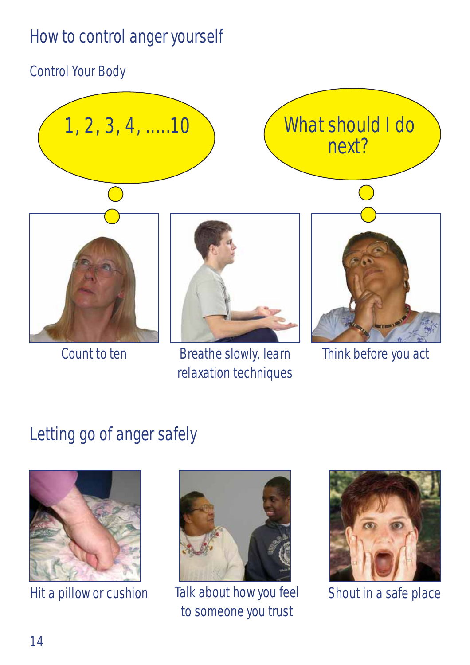#### How to control anger yourself

#### Control Your Body



Count to ten Think before you act

## relaxation techniques

Letting go of anger safely





Hit a pillow or cushion Talk about how you feel to someone you trust



Shout in a safe place